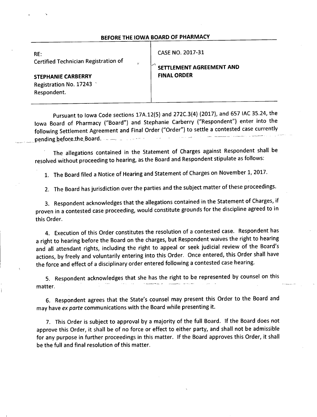#### BEFORE THE IOWA BOARD OF PHARMACY

| RE:<br>Certified Technician Registration of<br>$\ddot{ }$          | CASE NO. 2017-31<br>SETTLEMENT AGREEMENT AND |
|--------------------------------------------------------------------|----------------------------------------------|
| <b>STEPHANIE CARBERRY</b><br>Registration No. 17243<br>Respondent. | <b>FINAL ORDER</b>                           |

Pursuant to lowa Code sections 17A.12(5) and 272C.3(4) (2017), and 657 IAC 35.24, the lowa Board of Pharmacy ("Board") and Stephanie Carberry ("Respondent") enter into the following Settlement Agreement and Final Order ("Order") to settle a contested case currently pending before the Board.

The allegations contained in the Statement of Charges against Respondent shall be resolved without proceeding to hearing, as the Board and Respondent stipulate as follows:

1. The Board filed a Notice of Hearing and Statement of Charges on November 1, 2017.

2. The Board has jurisdiction over the parties and the subject matter of these proceedings.

3. Respondent acknowledges that the allegations contained in the Statement of Charges, if proven in a contested case proceeding, would constitute grounds for the discipline agreed to in this Order.

4. Execution of this Order constitutes the resolution of a contested case. Respondent has a right to hearing before the Board on the charges, but Respondent waives the right to hearing and all attendant rights, including the right to appeal or seek judicial review of the Board's actions, by freely and voluntarily entering into this Order. Once entered, this Order shall have the force and effect of a disciplinary order entered following a contested case hearing.

5. Respondent acknowledges that she has the right to be represented by counsel on this matter.

6. Respondent agrees that the State's counsel may present this Order to the Board and may have ex parte communications with the Board while presenting it.

7. This Order is subject to approval by a majority of the full Board. If the Board does not approve this Order, it shall be of no force or effect to either party, and shall not be admissible for any purpose in further proceedings in this matter. If the Board approves this Order, it shall be the full and final resolution of this matter.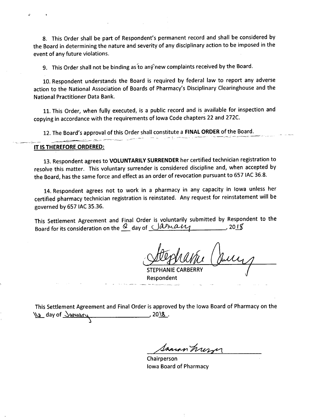8. This Order shall be part of Respondent's permanent record and shall be considered by the Board in determining the nature and severity of any disciplinary action to be imposed in the event of any future violations.

9. This Order shall not be binding as to any new complaints received by the Board.

10. Respondent understands the Board is required by federal law to report any adverse action to the National Association of Boards of Pharmacy's Disciplinary Clearinghouse and the **National Practitioner Data Bank.** 

11. This Order, when fully executed, is a public record and is available for inspection and copying in accordance with the requirements of lowa Code chapters 22 and 272C.

12. The Board's approval of this Order shall constitute a FINAL ORDER of the Board.

#### IT IS THEREFORE ORDERED:

13. Respondent agrees to VOLUNTARILY SURRENDER her certified technician registration to resolve this matter. This voluntary surrender is considered discipline and, when accepted by the Board, has the same force and effect as an order of revocation pursuant to 657 IAC 36.8.

14. Respondent agrees not to work in a pharmacy in any capacity in lowa unless her certified pharmacy technician registration is reinstated. Any request for reinstatement will be governed by 657 IAC 35.36.

This Settlement Agreement and Final Order is voluntarily submitted by Respondent to the Board for its consideration on the <u>Q</u> day of *Januain*  $201<sub>5</sub>$ 

**STEPHANIE CARBERRY** Respondent

This Settlement Agreement and Final Order is approved by the Iowa Board of Pharmacy on the Ve day of January \_, 20<u>\8</u>\_.

Samon hur

Chairperson **Iowa Board of Pharmacy**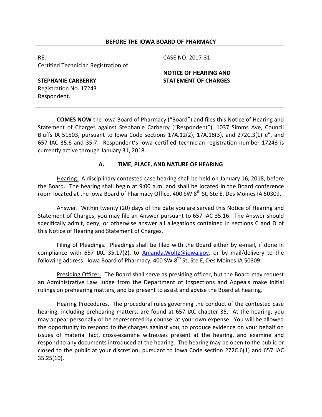### **BEFORE THE IOWA BOARD OF PHARMACY**

| RE:<br>Certified Technician Registration of                        | CASE NO. 2017-31                                            |
|--------------------------------------------------------------------|-------------------------------------------------------------|
| <b>STEPHANIE CARBERRY</b><br>Registration No. 17243<br>Respondent. | <b>NOTICE OF HEARING AND</b><br><b>STATEMENT OF CHARGES</b> |

**COMES NOW** the Iowa Board of Pharmacy ("Board") and files this Notice of Hearing and Statement of Charges against Stephanie Carberry ("Respondent"), 1037 Simms Ave, Council Bluffs IA 51503, pursuant to Iowa Code sections 17A.12(2), 17A.18(3), and 272C.3(1)"e", and 657 IAC 35.6 and 35.7. Respondent's Iowa certified technician registration number 17243 is currently active through January 31, 2018.

# **A. TIME, PLACE, AND NATURE OF HEARING**

Hearing. A disciplinary contested case hearing shall be held on January 16, 2018, before the Board. The hearing shall begin at 9:00 a.m. and shall be located in the Board conference room located at the Iowa Board of Pharmacy Office, 400 SW 8<sup>th</sup> St, Ste E, Des Moines IA 50309.

Answer. Within twenty (20) days of the date you are served this Notice of Hearing and Statement of Charges, you may file an Answer pursuant to 657 IAC 35.16. The Answer should specifically admit, deny, or otherwise answer all allegations contained in sections C and D of this Notice of Hearing and Statement of Charges.

Filing of Pleadings. Pleadings shall be filed with the Board either by e-mail, if done in compliance with 657 IAC 35.17(2), to  $A$ manda.Woltz@iowa.gov, or by mail/delivery to the following address: Iowa Board of Pharmacy, 400 SW 8<sup>th</sup> St, Ste E, Des Moines IA 50309.

Presiding Officer. The Board shall serve as presiding officer, but the Board may request an Administrative Law Judge from the Department of Inspections and Appeals make initial rulings on prehearing matters, and be present to assist and advise the Board at hearing.

Hearing Procedures. The procedural rules governing the conduct of the contested case hearing, including prehearing matters, are found at 657 IAC chapter 35. At the hearing, you may appear personally or be represented by counsel at your own expense. You will be allowed the opportunity to respond to the charges against you, to produce evidence on your behalf on issues of material fact, cross-examine witnesses present at the hearing, and examine and respond to any documents introduced at the hearing. The hearing may be open to the public or closed to the public at your discretion, pursuant to Iowa Code section 272C.6(1) and 657 IAC 35.25(10).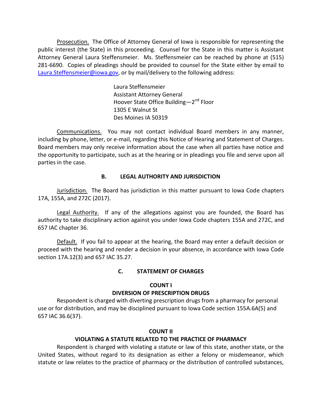Prosecution. The Office of Attorney General of Iowa is responsible for representing the public interest (the State) in this proceeding. Counsel for the State in this matter is Assistant Attorney General Laura Steffensmeier. Ms. Steffensmeier can be reached by phone at (515) 281-6690. Copies of pleadings should be provided to counsel for the State either by email to [Laura.Steffensmeier@iowa.gov,](mailto:Laura.Steffensmeier@iowa.gov) or by mail/delivery to the following address:

> Laura Steffensmeier Assistant Attorney General Hoover State Office Building—2<sup>nd</sup> Floor 1305 E Walnut St Des Moines IA 50319

Communications. You may not contact individual Board members in any manner, including by phone, letter, or e-mail, regarding this Notice of Hearing and Statement of Charges. Board members may only receive information about the case when all parties have notice and the opportunity to participate, such as at the hearing or in pleadings you file and serve upon all parties in the case.

# **B. LEGAL AUTHORITY AND JURISDICTION**

Jurisdiction. The Board has jurisdiction in this matter pursuant to Iowa Code chapters 17A, 155A, and 272C (2017).

Legal Authority. If any of the allegations against you are founded, the Board has authority to take disciplinary action against you under Iowa Code chapters 155A and 272C, and 657 IAC chapter 36.

Default. If you fail to appear at the hearing, the Board may enter a default decision or proceed with the hearing and render a decision in your absence, in accordance with Iowa Code section 17A.12(3) and 657 IAC 35.27.

# **C. STATEMENT OF CHARGES**

# **COUNT I**

# **DIVERSION OF PRESCRIPTION DRUGS**

Respondent is charged with diverting prescription drugs from a pharmacy for personal use or for distribution, and may be disciplined pursuant to Iowa Code section 155A.6A(5) and 657 IAC 36.6(37).

# **COUNT II**

# **VIOLATING A STATUTE RELATED TO THE PRACTICE OF PHARMACY**

Respondent is charged with violating a statute or law of this state, another state, or the United States, without regard to its designation as either a felony or misdemeanor, which statute or law relates to the practice of pharmacy or the distribution of controlled substances,